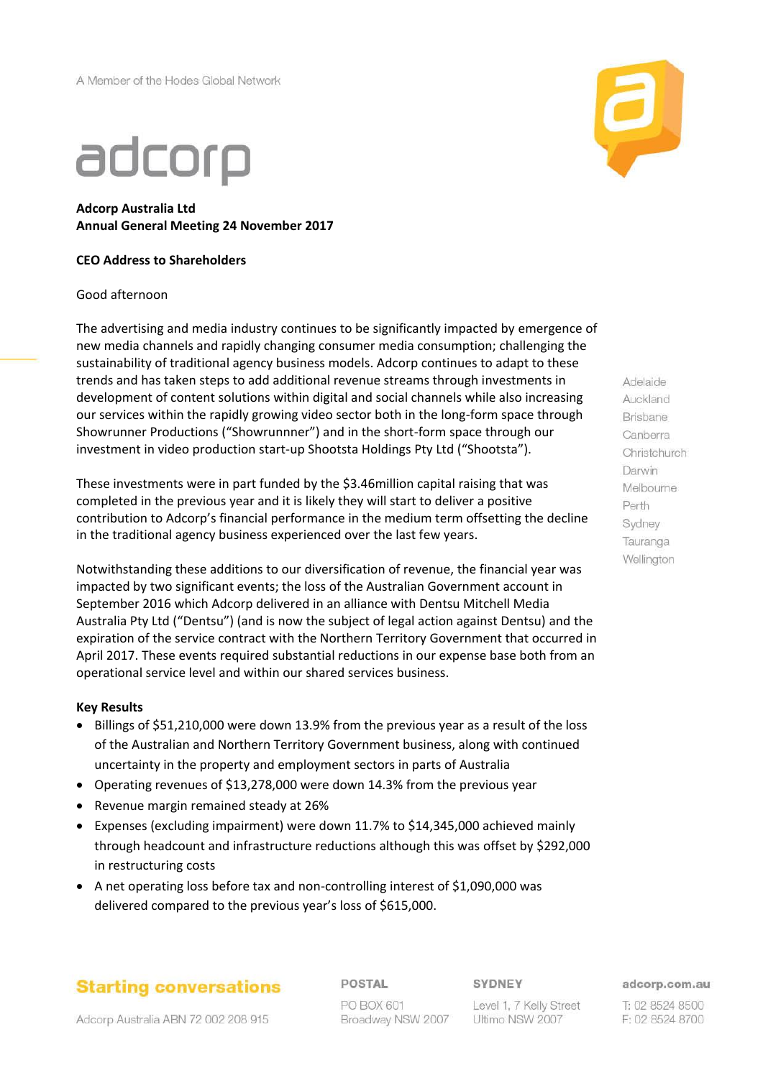

### **CEO Address to Shareholders**

### Good afternoon

The advertising and media industry continues to be significantly impacted by emergence of new media channels and rapidly changing consumer media consumption; challenging the sustainability of traditional agency business models. Adcorp continues to adapt to these trends and has taken steps to add additional revenue streams through investments in development of content solutions within digital and social channels while also increasing our services within the rapidly growing video sector both in the long-form space through Showrunner Productions ("Showrunnner") and in the short-form space through our investment in video production start-up Shootsta Holdings Pty Ltd ("Shootsta").

These investments were in part funded by the \$3.46million capital raising that was completed in the previous year and it is likely they will start to deliver a positive contribution to Adcorp's financial performance in the medium term offsetting the decline in the traditional agency business experienced over the last few years.

Notwithstanding these additions to our diversification of revenue, the financial year was impacted by two significant events; the loss of the Australian Government account in September 2016 which Adcorp delivered in an alliance with Dentsu Mitchell Media Australia Pty Ltd ("Dentsu") (and is now the subject of legal action against Dentsu) and the expiration of the service contract with the Northern Territory Government that occurred in April 2017. These events required substantial reductions in our expense base both from an operational service level and within our shared services business.

### **Key Results**

- Billings of \$51,210,000 were down 13.9% from the previous year as a result of the loss of the Australian and Northern Territory Government business, along with continued uncertainty in the property and employment sectors in parts of Australia
- Operating revenues of \$13,278,000 were down 14.3% from the previous year
- Revenue margin remained steady at 26%
- Expenses (excluding impairment) were down 11.7% to \$14,345,000 achieved mainly through headcount and infrastructure reductions although this was offset by \$292,000 in restructuring costs
- A net operating loss before tax and non-controlling interest of \$1,090,000 was delivered compared to the previous year's loss of \$615,000.



POSTAL

SYDNEY

Level 1, 7 Kelly Street Ultimo NSW 2007

adcorp.com.au

T: 02 8524 8500 F: 02 8524 8700



Auckland Brisbane Canberra Christchurch Darwin Melbourne Perth Sydney Tauranga Wellington

Adelaide

Adcorp Australia ABN 72 002 208 915

PO BOX 601 Broadway NSW 2007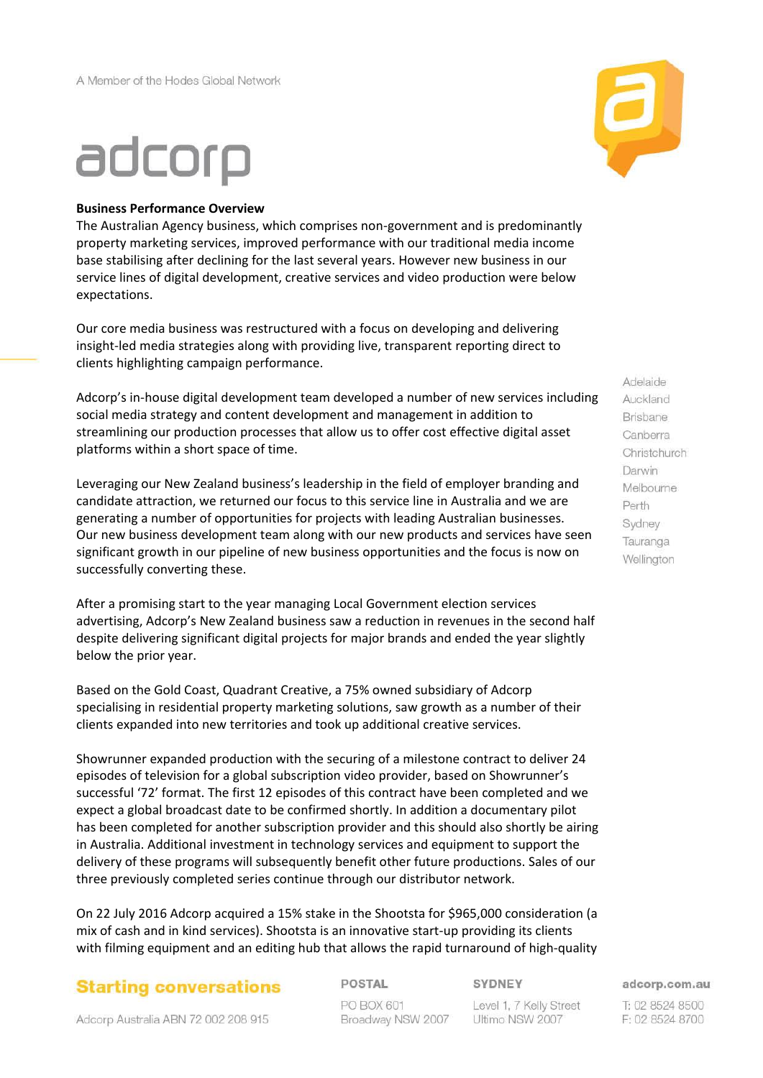## **Business Performance Overview**

The Australian Agency business, which comprises non-government and is predominantly property marketing services, improved performance with our traditional media income base stabilising after declining for the last several years. However new business in our service lines of digital development, creative services and video production were below expectations.

Our core media business was restructured with a focus on developing and delivering insight-led media strategies along with providing live, transparent reporting direct to clients highlighting campaign performance.

Adcorp's in-house digital development team developed a number of new services including social media strategy and content development and management in addition to streamlining our production processes that allow us to offer cost effective digital asset platforms within a short space of time.

Leveraging our New Zealand business's leadership in the field of employer branding and candidate attraction, we returned our focus to this service line in Australia and we are generating a number of opportunities for projects with leading Australian businesses. Our new business development team along with our new products and services have seen significant growth in our pipeline of new business opportunities and the focus is now on successfully converting these.

After a promising start to the year managing Local Government election services advertising, Adcorp's New Zealand business saw a reduction in revenues in the second half despite delivering significant digital projects for major brands and ended the year slightly below the prior year.

Based on the Gold Coast, Quadrant Creative, a 75% owned subsidiary of Adcorp specialising in residential property marketing solutions, saw growth as a number of their clients expanded into new territories and took up additional creative services.

Showrunner expanded production with the securing of a milestone contract to deliver 24 episodes of television for a global subscription video provider, based on Showrunner's successful '72' format. The first 12 episodes of this contract have been completed and we expect a global broadcast date to be confirmed shortly. In addition a documentary pilot has been completed for another subscription provider and this should also shortly be airing in Australia. Additional investment in technology services and equipment to support the delivery of these programs will subsequently benefit other future productions. Sales of our three previously completed series continue through our distributor network.

On 22 July 2016 Adcorp acquired a 15% stake in the Shootsta for \$965,000 consideration (a mix of cash and in kind services). Shootsta is an innovative start-up providing its clients with filming equipment and an editing hub that allows the rapid turnaround of high-quality

# **Starting conversations**

POSTAL PO BOX 601 Broadway NSW 2007 SYDNEY

Level 1, 7 Kelly Street Ultimo NSW 2007

adcorp.com.au

T: 02 8524 8500 F: 02 8524 8700

Adcorp Australia ABN 72 002 208 915



Adelaide Auckland Brisbane Canberra Christchurch Darwin Melbourne Perth Sydney Tauranga Wellington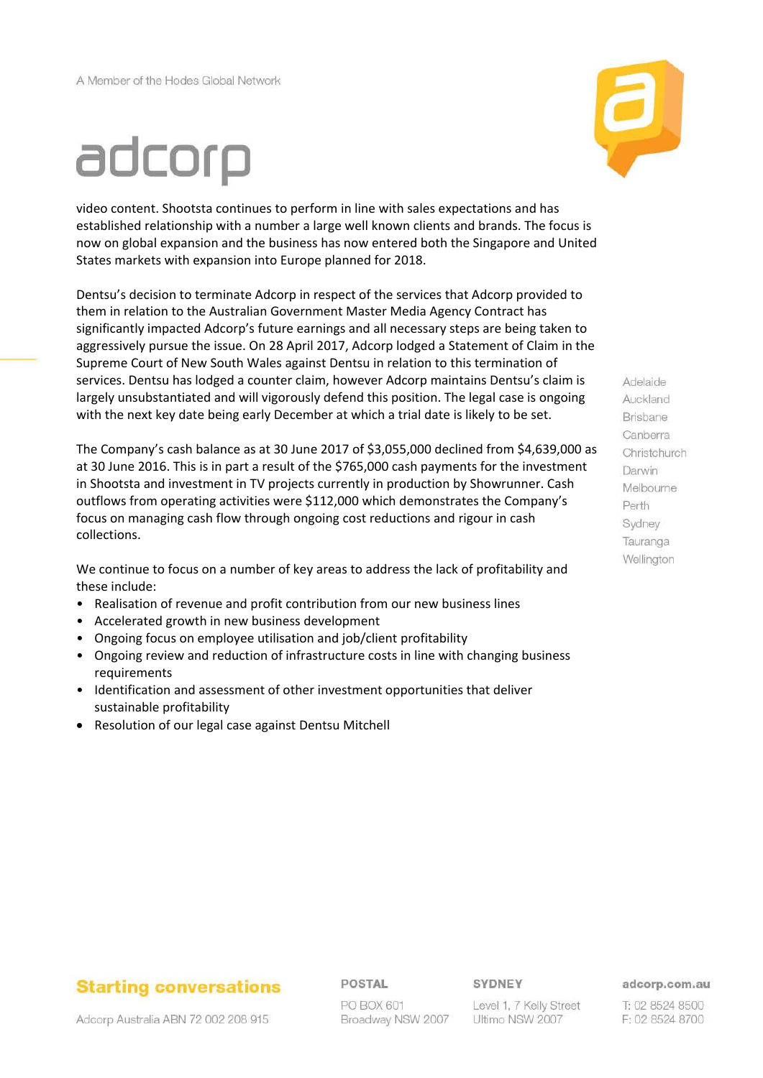video content. Shootsta continues to perform in line with sales expectations and has established relationship with a number a large well known clients and brands. The focus is now on global expansion and the business has now entered both the Singapore and United States markets with expansion into Europe planned for 2018.

Dentsu's decision to terminate Adcorp in respect of the services that Adcorp provided to them in relation to the Australian Government Master Media Agency Contract has significantly impacted Adcorp's future earnings and all necessary steps are being taken to aggressively pursue the issue. On 28 April 2017, Adcorp lodged a Statement of Claim in the Supreme Court of New South Wales against Dentsu in relation to this termination of services. Dentsu has lodged a counter claim, however Adcorp maintains Dentsu's claim is largely unsubstantiated and will vigorously defend this position. The legal case is ongoing with the next key date being early December at which a trial date is likely to be set.

The Company's cash balance as at 30 June 2017 of \$3,055,000 declined from \$4,639,000 as at 30 June 2016. This is in part a result of the \$765,000 cash payments for the investment in Shootsta and investment in TV projects currently in production by Showrunner. Cash outflows from operating activities were \$112,000 which demonstrates the Company's focus on managing cash flow through ongoing cost reductions and rigour in cash collections.

We continue to focus on a number of key areas to address the lack of profitability and these include:

- Realisation of revenue and profit contribution from our new business lines
- Accelerated growth in new business development
- Ongoing focus on employee utilisation and job/client profitability
- Ongoing review and reduction of infrastructure costs in line with changing business requirements
- Identification and assessment of other investment opportunities that deliver sustainable profitability
- Resolution of our legal case against Dentsu Mitchell



Adelaide Auckland Brisbane Canberra Christchurch Darwin Melbourne Perth Sydney Tauranga Wellington

# **Starting conversations**

POSTAL

PO BOX 601 Broadway NSW 2007 SYDNEY

Level 1, 7 Kelly Street Ultimo NSW 2007

adcorp.com.au

T: 02 8524 8500 F: 02 8524 8700

Adcorp Australia ABN 72 002 208 915